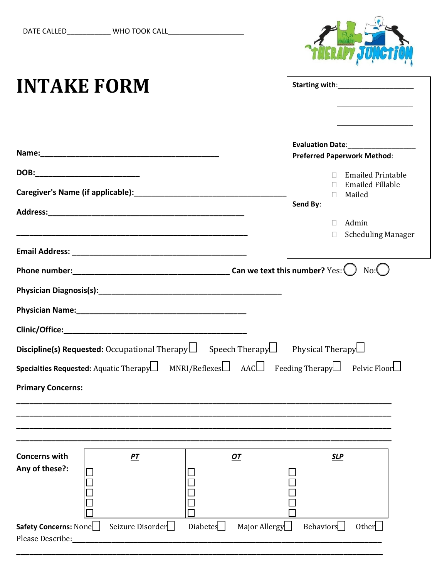

| <b>INTAKE FORM</b>                        |                                                                                               |                                                                                                                                                                                                                                                                                                                                |                                                                                                            |
|-------------------------------------------|-----------------------------------------------------------------------------------------------|--------------------------------------------------------------------------------------------------------------------------------------------------------------------------------------------------------------------------------------------------------------------------------------------------------------------------------|------------------------------------------------------------------------------------------------------------|
| DOB:____________________________          |                                                                                               | Evaluation Date:<br><u>Letter and the set of the set of the set of the set of the set of the set of the set of the set of the set of the set of the set of the set of the set of the set of the set of the set of the set of the s</u><br><b>Preferred Paperwork Method:</b><br>□ Emailed Printable<br><b>Emailed Fillable</b> |                                                                                                            |
|                                           | Caregiver's Name (if applicable): [11] Manuscription of the Caregiver's Name (if applicable): |                                                                                                                                                                                                                                                                                                                                | Mailed<br>$\Box$<br>Send By:<br>$\Box$ Admin<br><b>Scheduling Manager</b><br>$\mathcal{L}^{\text{max}}$    |
|                                           |                                                                                               |                                                                                                                                                                                                                                                                                                                                | $No:$ $\left( \quad \right)$                                                                               |
|                                           |                                                                                               |                                                                                                                                                                                                                                                                                                                                |                                                                                                            |
| <b>Primary Concerns:</b>                  |                                                                                               | <b>Discipline(s) Requested:</b> Occupational Therapy Speech Therapy Physical Therapy $\Box$                                                                                                                                                                                                                                    | <b>Specialties Requested:</b> Aquatic Therapy $\Box$ MNRI/Reflexes $\Box$ AAC Feeding Therapy Pelvic Floor |
|                                           |                                                                                               |                                                                                                                                                                                                                                                                                                                                |                                                                                                            |
| <b>Concerns with</b><br>Any of these?:    | PT                                                                                            | $OT$                                                                                                                                                                                                                                                                                                                           | <b>SLP</b>                                                                                                 |
| Safety Concerns: None<br>Please Describe: | Seizure Disorder                                                                              | Diabetes<br>Major Allergy                                                                                                                                                                                                                                                                                                      | <b>Behaviors</b><br>Other                                                                                  |

**\_\_\_\_\_\_\_\_\_\_\_\_\_\_\_\_\_\_\_\_\_\_\_\_\_\_\_\_\_\_\_\_\_\_\_\_\_\_\_\_\_\_\_\_\_\_\_\_\_\_\_\_\_\_\_\_\_\_\_\_\_\_\_\_\_\_\_\_\_\_\_\_\_\_\_\_\_\_\_\_\_\_\_\_**